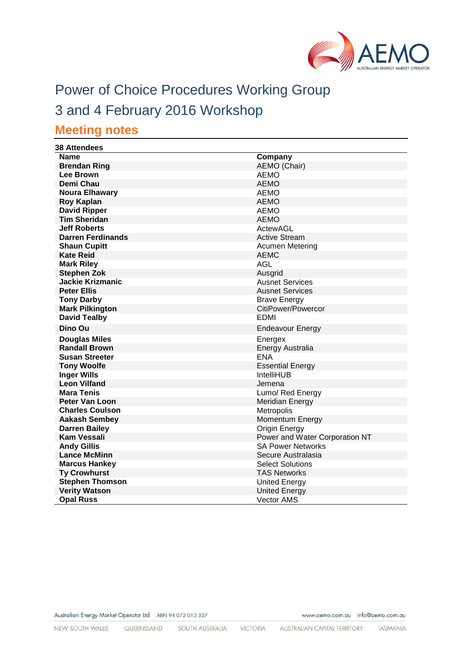

# Power of Choice Procedures Working Group

## 3 and 4 February 2016 Workshop

## **Meeting notes**

| <b>38 Attendees</b>      |                                |
|--------------------------|--------------------------------|
| <b>Name</b>              | Company                        |
| <b>Brendan Ring</b>      | AEMO (Chair)                   |
| <b>Lee Brown</b>         | <b>AEMO</b>                    |
| Demi Chau                | <b>AEMO</b>                    |
| <b>Noura Elhawary</b>    | <b>AEMO</b>                    |
| <b>Roy Kaplan</b>        | <b>AEMO</b>                    |
| <b>David Ripper</b>      | <b>AEMO</b>                    |
| <b>Tim Sheridan</b>      | <b>AEMO</b>                    |
| <b>Jeff Roberts</b>      | ActewAGL                       |
| <b>Darren Ferdinands</b> | <b>Active Stream</b>           |
| <b>Shaun Cupitt</b>      | Acumen Metering                |
| <b>Kate Reid</b>         | <b>AEMC</b>                    |
| <b>Mark Riley</b>        | <b>AGL</b>                     |
| <b>Stephen Zok</b>       | Ausgrid                        |
| <b>Jackie Krizmanic</b>  | <b>Ausnet Services</b>         |
| <b>Peter Ellis</b>       | <b>Ausnet Services</b>         |
| <b>Tony Darby</b>        | <b>Brave Energy</b>            |
| <b>Mark Pilkington</b>   | CitiPower/Powercor             |
| <b>David Tealby</b>      | EDMI                           |
| Dino Ou                  | <b>Endeavour Energy</b>        |
| Douglas Miles            | Energex                        |
| <b>Randall Brown</b>     | Energy Australia               |
| <b>Susan Streeter</b>    | <b>ENA</b>                     |
| <b>Tony Woolfe</b>       | <b>Essential Energy</b>        |
| <b>Inger Wills</b>       | <b>IntelliHUB</b>              |
| <b>Leon Vilfand</b>      | Jemena                         |
| <b>Mara Tenis</b>        | Lumo/ Red Energy               |
| <b>Peter Van Loon</b>    | Meridian Energy                |
| <b>Charles Coulson</b>   | Metropolis                     |
| <b>Aakash Sembey</b>     | Momentum Energy                |
| <b>Darren Bailey</b>     | Origin Energy                  |
| <b>Kam Vessali</b>       | Power and Water Corporation NT |
| <b>Andy Gillis</b>       | <b>SA Power Networks</b>       |
| <b>Lance McMinn</b>      | Secure Australasia             |
| <b>Marcus Hankey</b>     | <b>Select Solutions</b>        |
| <b>Ty Crowhurst</b>      | <b>TAS Networks</b>            |
| <b>Stephen Thomson</b>   | <b>United Energy</b>           |
| <b>Verity Watson</b>     | United Energy                  |
| <b>Opal Russ</b>         | <b>Vector AMS</b>              |

www.aemo.com.au info@aemo.com.au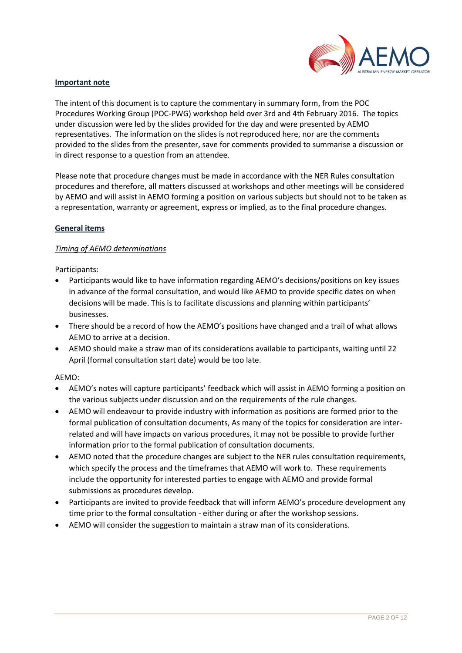

#### **Important note**

The intent of this document is to capture the commentary in summary form, from the POC Procedures Working Group (POC-PWG) workshop held over 3rd and 4th February 2016. The topics under discussion were led by the slides provided for the day and were presented by AEMO representatives. The information on the slides is not reproduced here, nor are the comments provided to the slides from the presenter, save for comments provided to summarise a discussion or in direct response to a question from an attendee.

Please note that procedure changes must be made in accordance with the NER Rules consultation procedures and therefore, all matters discussed at workshops and other meetings will be considered by AEMO and will assist in AEMO forming a position on various subjects but should not to be taken as a representation, warranty or agreement, express or implied, as to the final procedure changes.

#### **General items**

## *Timing of AEMO determinations*

Participants:

- Participants would like to have information regarding AEMO's decisions/positions on key issues in advance of the formal consultation, and would like AEMO to provide specific dates on when decisions will be made. This is to facilitate discussions and planning within participants' businesses.
- There should be a record of how the AEMO's positions have changed and a trail of what allows AEMO to arrive at a decision.
- AEMO should make a straw man of its considerations available to participants, waiting until 22 April (formal consultation start date) would be too late.

#### AEMO:

- AEMO's notes will capture participants' feedback which will assist in AEMO forming a position on the various subjects under discussion and on the requirements of the rule changes.
- AEMO will endeavour to provide industry with information as positions are formed prior to the formal publication of consultation documents, As many of the topics for consideration are interrelated and will have impacts on various procedures, it may not be possible to provide further information prior to the formal publication of consultation documents.
- AEMO noted that the procedure changes are subject to the NER rules consultation requirements, which specify the process and the timeframes that AEMO will work to. These requirements include the opportunity for interested parties to engage with AEMO and provide formal submissions as procedures develop.
- Participants are invited to provide feedback that will inform AEMO's procedure development any time prior to the formal consultation - either during or after the workshop sessions.
- AEMO will consider the suggestion to maintain a straw man of its considerations.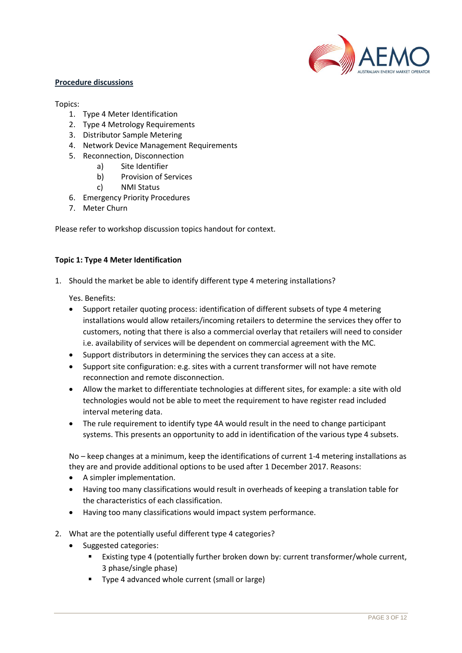

#### **Procedure discussions**

#### Topics:

- 1. Type 4 Meter Identification
- 2. Type 4 Metrology Requirements
- 3. Distributor Sample Metering
- 4. Network Device Management Requirements
- 5. Reconnection, Disconnection
	- a) Site Identifier
	- b) Provision of Services
	- c) NMI Status
- 6. Emergency Priority Procedures
- 7. Meter Churn

Please refer to workshop discussion topics handout for context.

#### **Topic 1: Type 4 Meter Identification**

1. Should the market be able to identify different type 4 metering installations?

Yes. Benefits:

- Support retailer quoting process: identification of different subsets of type 4 metering installations would allow retailers/incoming retailers to determine the services they offer to customers, noting that there is also a commercial overlay that retailers will need to consider i.e. availability of services will be dependent on commercial agreement with the MC.
- Support distributors in determining the services they can access at a site.
- Support site configuration: e.g. sites with a current transformer will not have remote reconnection and remote disconnection.
- Allow the market to differentiate technologies at different sites, for example: a site with old technologies would not be able to meet the requirement to have register read included interval metering data.
- The rule requirement to identify type 4A would result in the need to change participant systems. This presents an opportunity to add in identification of the various type 4 subsets.

No – keep changes at a minimum, keep the identifications of current 1-4 metering installations as they are and provide additional options to be used after 1 December 2017. Reasons:

- A simpler implementation.
- Having too many classifications would result in overheads of keeping a translation table for the characteristics of each classification.
- Having too many classifications would impact system performance.
- 2. What are the potentially useful different type 4 categories?
	- Suggested categories:
		- Existing type 4 (potentially further broken down by: current transformer/whole current, 3 phase/single phase)
		- **Type 4 advanced whole current (small or large)**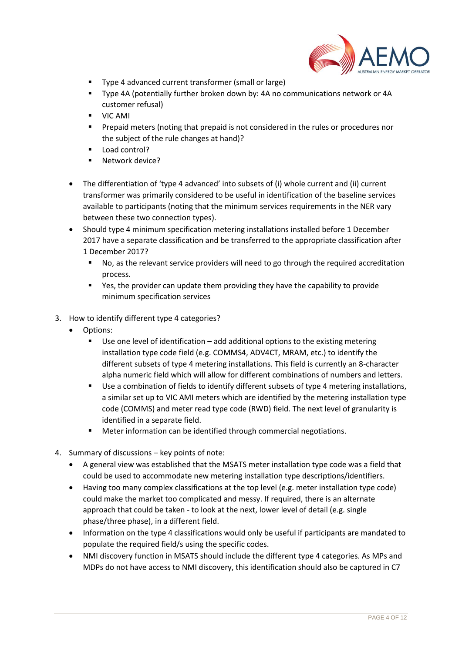

- Type 4 advanced current transformer (small or large)
- Type 4A (potentially further broken down by: 4A no communications network or 4A customer refusal)
- **UIC AMI**
- Prepaid meters (noting that prepaid is not considered in the rules or procedures nor the subject of the rule changes at hand)?
- Load control?
- Network device?
- The differentiation of 'type 4 advanced' into subsets of (i) whole current and (ii) current transformer was primarily considered to be useful in identification of the baseline services available to participants (noting that the minimum services requirements in the NER vary between these two connection types).
- Should type 4 minimum specification metering installations installed before 1 December 2017 have a separate classification and be transferred to the appropriate classification after 1 December 2017?
	- No, as the relevant service providers will need to go through the required accreditation process.
	- Yes, the provider can update them providing they have the capability to provide minimum specification services
- 3. How to identify different type 4 categories?
	- Options:
		- Use one level of identification add additional options to the existing metering installation type code field (e.g. COMMS4, ADV4CT, MRAM, etc.) to identify the different subsets of type 4 metering installations. This field is currently an 8-character alpha numeric field which will allow for different combinations of numbers and letters.
		- Use a combination of fields to identify different subsets of type 4 metering installations, a similar set up to VIC AMI meters which are identified by the metering installation type code (COMMS) and meter read type code (RWD) field. The next level of granularity is identified in a separate field.
		- Meter information can be identified through commercial negotiations.
- 4. Summary of discussions key points of note:
	- A general view was established that the MSATS meter installation type code was a field that could be used to accommodate new metering installation type descriptions/identifiers.
	- Having too many complex classifications at the top level (e.g. meter installation type code) could make the market too complicated and messy. If required, there is an alternate approach that could be taken - to look at the next, lower level of detail (e.g. single phase/three phase), in a different field.
	- Information on the type 4 classifications would only be useful if participants are mandated to populate the required field/s using the specific codes.
	- NMI discovery function in MSATS should include the different type 4 categories. As MPs and MDPs do not have access to NMI discovery, this identification should also be captured in C7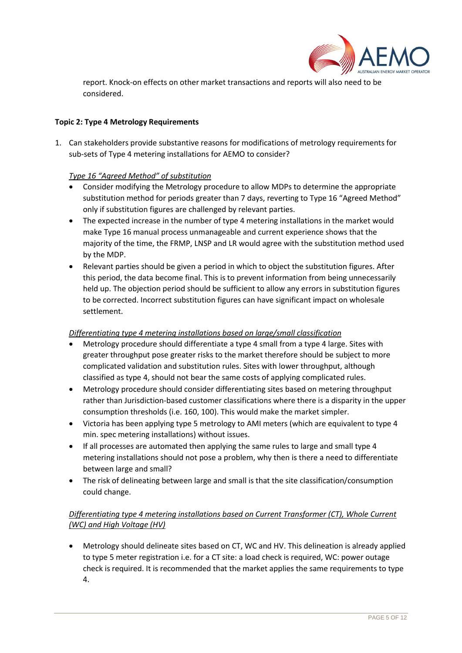

report. Knock-on effects on other market transactions and reports will also need to be considered.

## **Topic 2: Type 4 Metrology Requirements**

1. Can stakeholders provide substantive reasons for modifications of metrology requirements for sub-sets of Type 4 metering installations for AEMO to consider?

## *Type 16 "Agreed Method" of substitution*

- Consider modifying the Metrology procedure to allow MDPs to determine the appropriate substitution method for periods greater than 7 days, reverting to Type 16 "Agreed Method" only if substitution figures are challenged by relevant parties.
- The expected increase in the number of type 4 metering installations in the market would make Type 16 manual process unmanageable and current experience shows that the majority of the time, the FRMP, LNSP and LR would agree with the substitution method used by the MDP.
- Relevant parties should be given a period in which to object the substitution figures. After this period, the data become final. This is to prevent information from being unnecessarily held up. The objection period should be sufficient to allow any errors in substitution figures to be corrected. Incorrect substitution figures can have significant impact on wholesale settlement.

## *Differentiating type 4 metering installations based on large/small classification*

- Metrology procedure should differentiate a type 4 small from a type 4 large. Sites with greater throughput pose greater risks to the market therefore should be subject to more complicated validation and substitution rules. Sites with lower throughput, although classified as type 4, should not bear the same costs of applying complicated rules.
- Metrology procedure should consider differentiating sites based on metering throughput rather than Jurisdiction-based customer classifications where there is a disparity in the upper consumption thresholds (i.e. 160, 100). This would make the market simpler.
- Victoria has been applying type 5 metrology to AMI meters (which are equivalent to type 4 min. spec metering installations) without issues.
- If all processes are automated then applying the same rules to large and small type 4 metering installations should not pose a problem, why then is there a need to differentiate between large and small?
- The risk of delineating between large and small is that the site classification/consumption could change.

## *Differentiating type 4 metering installations based on Current Transformer (CT), Whole Current (WC) and High Voltage (HV)*

 Metrology should delineate sites based on CT, WC and HV. This delineation is already applied to type 5 meter registration i.e. for a CT site: a load check is required, WC: power outage check is required. It is recommended that the market applies the same requirements to type 4.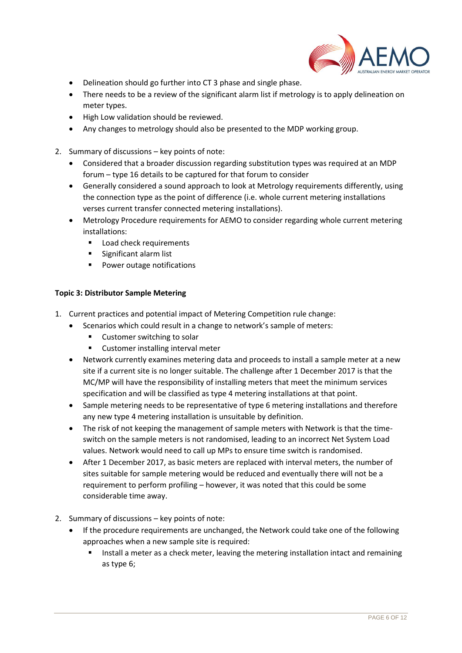

- Delineation should go further into CT 3 phase and single phase.
- There needs to be a review of the significant alarm list if metrology is to apply delineation on meter types.
- High Low validation should be reviewed.
- Any changes to metrology should also be presented to the MDP working group.
- 2. Summary of discussions key points of note:
	- Considered that a broader discussion regarding substitution types was required at an MDP forum – type 16 details to be captured for that forum to consider
	- Generally considered a sound approach to look at Metrology requirements differently, using the connection type as the point of difference (i.e. whole current metering installations verses current transfer connected metering installations).
	- Metrology Procedure requirements for AEMO to consider regarding whole current metering installations:
		- **Load check requirements**
		- **Significant alarm list**
		- Power outage notifications

## **Topic 3: Distributor Sample Metering**

- 1. Current practices and potential impact of Metering Competition rule change:
	- Scenarios which could result in a change to network's sample of meters:
		- Customer switching to solar
		- Customer installing interval meter
	- Network currently examines metering data and proceeds to install a sample meter at a new site if a current site is no longer suitable. The challenge after 1 December 2017 is that the MC/MP will have the responsibility of installing meters that meet the minimum services specification and will be classified as type 4 metering installations at that point.
	- Sample metering needs to be representative of type 6 metering installations and therefore any new type 4 metering installation is unsuitable by definition.
	- The risk of not keeping the management of sample meters with Network is that the timeswitch on the sample meters is not randomised, leading to an incorrect Net System Load values. Network would need to call up MPs to ensure time switch is randomised.
	- After 1 December 2017, as basic meters are replaced with interval meters, the number of sites suitable for sample metering would be reduced and eventually there will not be a requirement to perform profiling – however, it was noted that this could be some considerable time away.
- 2. Summary of discussions key points of note:
	- If the procedure requirements are unchanged, the Network could take one of the following approaches when a new sample site is required:
		- Install a meter as a check meter, leaving the metering installation intact and remaining as type 6;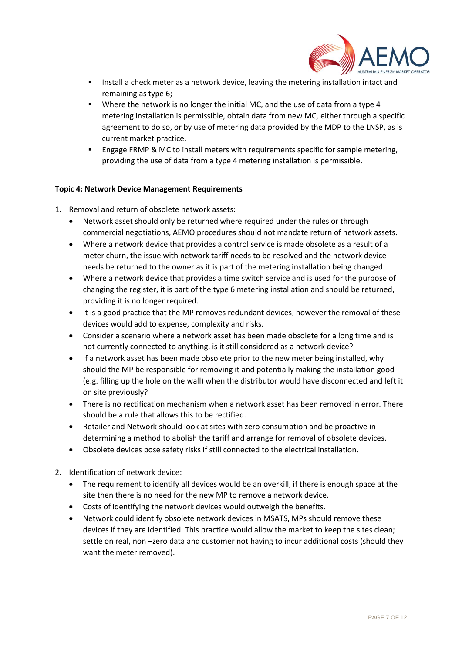

- **Install a check meter as a network device, leaving the metering installation intact and** remaining as type 6;
- **Where the network is no longer the initial MC, and the use of data from a type 4** metering installation is permissible, obtain data from new MC, either through a specific agreement to do so, or by use of metering data provided by the MDP to the LNSP, as is current market practice.
- Engage FRMP & MC to install meters with requirements specific for sample metering, providing the use of data from a type 4 metering installation is permissible.

## **Topic 4: Network Device Management Requirements**

- 1. Removal and return of obsolete network assets:
	- Network asset should only be returned where required under the rules or through commercial negotiations, AEMO procedures should not mandate return of network assets.
	- Where a network device that provides a control service is made obsolete as a result of a meter churn, the issue with network tariff needs to be resolved and the network device needs be returned to the owner as it is part of the metering installation being changed.
	- Where a network device that provides a time switch service and is used for the purpose of changing the register, it is part of the type 6 metering installation and should be returned, providing it is no longer required.
	- It is a good practice that the MP removes redundant devices, however the removal of these devices would add to expense, complexity and risks.
	- Consider a scenario where a network asset has been made obsolete for a long time and is not currently connected to anything, is it still considered as a network device?
	- If a network asset has been made obsolete prior to the new meter being installed, why should the MP be responsible for removing it and potentially making the installation good (e.g. filling up the hole on the wall) when the distributor would have disconnected and left it on site previously?
	- There is no rectification mechanism when a network asset has been removed in error. There should be a rule that allows this to be rectified.
	- Retailer and Network should look at sites with zero consumption and be proactive in determining a method to abolish the tariff and arrange for removal of obsolete devices.
	- Obsolete devices pose safety risks if still connected to the electrical installation.
- 2. Identification of network device:
	- The requirement to identify all devices would be an overkill, if there is enough space at the site then there is no need for the new MP to remove a network device.
	- Costs of identifying the network devices would outweigh the benefits.
	- Network could identify obsolete network devices in MSATS, MPs should remove these devices if they are identified. This practice would allow the market to keep the sites clean; settle on real, non -zero data and customer not having to incur additional costs (should they want the meter removed).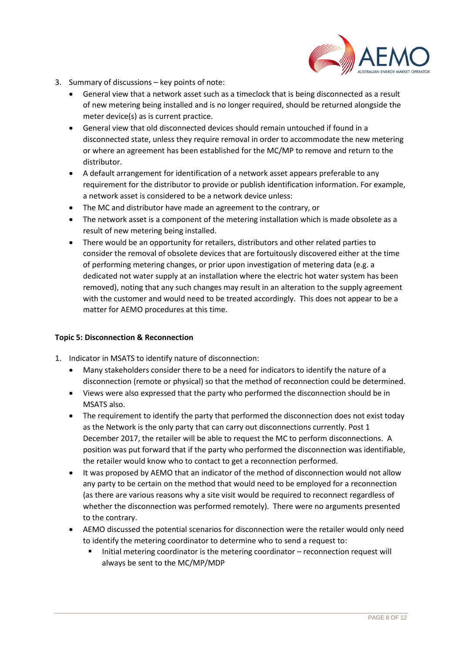

- 3. Summary of discussions key points of note:
	- General view that a network asset such as a timeclock that is being disconnected as a result of new metering being installed and is no longer required, should be returned alongside the meter device(s) as is current practice.
	- General view that old disconnected devices should remain untouched if found in a disconnected state, unless they require removal in order to accommodate the new metering or where an agreement has been established for the MC/MP to remove and return to the distributor.
	- A default arrangement for identification of a network asset appears preferable to any requirement for the distributor to provide or publish identification information. For example, a network asset is considered to be a network device unless:
	- The MC and distributor have made an agreement to the contrary, or
	- The network asset is a component of the metering installation which is made obsolete as a result of new metering being installed.
	- There would be an opportunity for retailers, distributors and other related parties to consider the removal of obsolete devices that are fortuitously discovered either at the time of performing metering changes, or prior upon investigation of metering data (e.g. a dedicated not water supply at an installation where the electric hot water system has been removed), noting that any such changes may result in an alteration to the supply agreement with the customer and would need to be treated accordingly. This does not appear to be a matter for AEMO procedures at this time.

#### **Topic 5: Disconnection & Reconnection**

- 1. Indicator in MSATS to identify nature of disconnection:
	- Many stakeholders consider there to be a need for indicators to identify the nature of a disconnection (remote or physical) so that the method of reconnection could be determined.
	- Views were also expressed that the party who performed the disconnection should be in MSATS also.
	- The requirement to identify the party that performed the disconnection does not exist today as the Network is the only party that can carry out disconnections currently. Post 1 December 2017, the retailer will be able to request the MC to perform disconnections. A position was put forward that if the party who performed the disconnection was identifiable, the retailer would know who to contact to get a reconnection performed.
	- It was proposed by AEMO that an indicator of the method of disconnection would not allow any party to be certain on the method that would need to be employed for a reconnection (as there are various reasons why a site visit would be required to reconnect regardless of whether the disconnection was performed remotely). There were no arguments presented to the contrary.
	- AEMO discussed the potential scenarios for disconnection were the retailer would only need to identify the metering coordinator to determine who to send a request to:
		- Initial metering coordinator is the metering coordinator reconnection request will always be sent to the MC/MP/MDP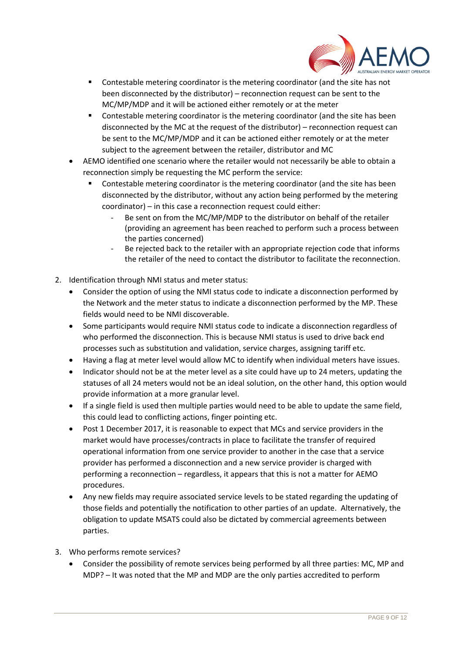

- Contestable metering coordinator is the metering coordinator (and the site has not been disconnected by the distributor) – reconnection request can be sent to the MC/MP/MDP and it will be actioned either remotely or at the meter
- Contestable metering coordinator is the metering coordinator (and the site has been disconnected by the MC at the request of the distributor) – reconnection request can be sent to the MC/MP/MDP and it can be actioned either remotely or at the meter subject to the agreement between the retailer, distributor and MC
- AEMO identified one scenario where the retailer would not necessarily be able to obtain a reconnection simply be requesting the MC perform the service:
	- Contestable metering coordinator is the metering coordinator (and the site has been disconnected by the distributor, without any action being performed by the metering coordinator) – in this case a reconnection request could either:
		- Be sent on from the MC/MP/MDP to the distributor on behalf of the retailer (providing an agreement has been reached to perform such a process between the parties concerned)
		- Be rejected back to the retailer with an appropriate rejection code that informs the retailer of the need to contact the distributor to facilitate the reconnection.
- 2. Identification through NMI status and meter status:
	- Consider the option of using the NMI status code to indicate a disconnection performed by the Network and the meter status to indicate a disconnection performed by the MP. These fields would need to be NMI discoverable.
	- Some participants would require NMI status code to indicate a disconnection regardless of who performed the disconnection. This is because NMI status is used to drive back end processes such as substitution and validation, service charges, assigning tariff etc.
	- Having a flag at meter level would allow MC to identify when individual meters have issues.
	- Indicator should not be at the meter level as a site could have up to 24 meters, updating the statuses of all 24 meters would not be an ideal solution, on the other hand, this option would provide information at a more granular level.
	- If a single field is used then multiple parties would need to be able to update the same field, this could lead to conflicting actions, finger pointing etc.
	- Post 1 December 2017, it is reasonable to expect that MCs and service providers in the market would have processes/contracts in place to facilitate the transfer of required operational information from one service provider to another in the case that a service provider has performed a disconnection and a new service provider is charged with performing a reconnection – regardless, it appears that this is not a matter for AEMO procedures.
	- Any new fields may require associated service levels to be stated regarding the updating of those fields and potentially the notification to other parties of an update. Alternatively, the obligation to update MSATS could also be dictated by commercial agreements between parties.
- 3. Who performs remote services?
	- Consider the possibility of remote services being performed by all three parties: MC, MP and MDP? – It was noted that the MP and MDP are the only parties accredited to perform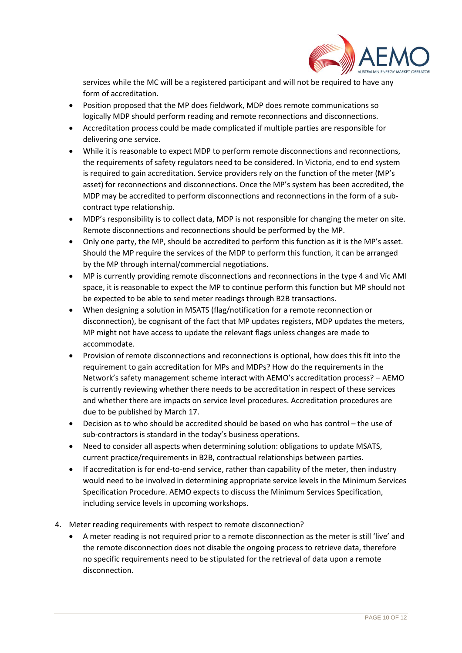

services while the MC will be a registered participant and will not be required to have any form of accreditation.

- Position proposed that the MP does fieldwork, MDP does remote communications so logically MDP should perform reading and remote reconnections and disconnections.
- Accreditation process could be made complicated if multiple parties are responsible for delivering one service.
- While it is reasonable to expect MDP to perform remote disconnections and reconnections, the requirements of safety regulators need to be considered. In Victoria, end to end system is required to gain accreditation. Service providers rely on the function of the meter (MP's asset) for reconnections and disconnections. Once the MP's system has been accredited, the MDP may be accredited to perform disconnections and reconnections in the form of a subcontract type relationship.
- MDP's responsibility is to collect data, MDP is not responsible for changing the meter on site. Remote disconnections and reconnections should be performed by the MP.
- Only one party, the MP, should be accredited to perform this function as it is the MP's asset. Should the MP require the services of the MDP to perform this function, it can be arranged by the MP through internal/commercial negotiations.
- MP is currently providing remote disconnections and reconnections in the type 4 and Vic AMI space, it is reasonable to expect the MP to continue perform this function but MP should not be expected to be able to send meter readings through B2B transactions.
- When designing a solution in MSATS (flag/notification for a remote reconnection or disconnection), be cognisant of the fact that MP updates registers, MDP updates the meters, MP might not have access to update the relevant flags unless changes are made to accommodate.
- Provision of remote disconnections and reconnections is optional, how does this fit into the requirement to gain accreditation for MPs and MDPs? How do the requirements in the Network's safety management scheme interact with AEMO's accreditation process? – AEMO is currently reviewing whether there needs to be accreditation in respect of these services and whether there are impacts on service level procedures. Accreditation procedures are due to be published by March 17.
- Decision as to who should be accredited should be based on who has control the use of sub-contractors is standard in the today's business operations.
- Need to consider all aspects when determining solution: obligations to update MSATS, current practice/requirements in B2B, contractual relationships between parties.
- If accreditation is for end-to-end service, rather than capability of the meter, then industry would need to be involved in determining appropriate service levels in the Minimum Services Specification Procedure. AEMO expects to discuss the Minimum Services Specification, including service levels in upcoming workshops.
- 4. Meter reading requirements with respect to remote disconnection?
	- A meter reading is not required prior to a remote disconnection as the meter is still 'live' and the remote disconnection does not disable the ongoing process to retrieve data, therefore no specific requirements need to be stipulated for the retrieval of data upon a remote disconnection.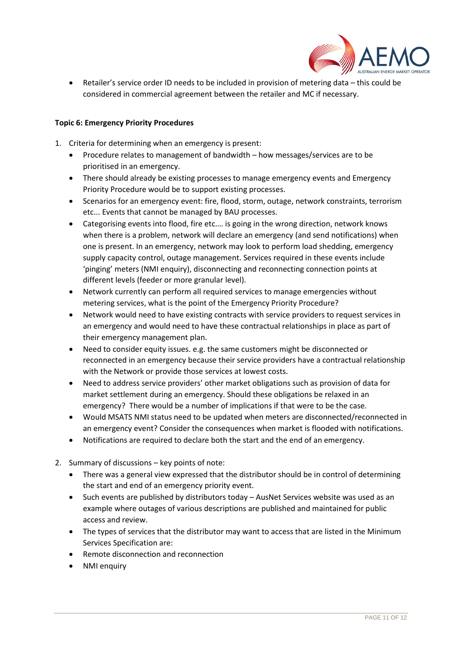

 Retailer's service order ID needs to be included in provision of metering data – this could be considered in commercial agreement between the retailer and MC if necessary.

## **Topic 6: Emergency Priority Procedures**

- 1. Criteria for determining when an emergency is present:
	- Procedure relates to management of bandwidth how messages/services are to be prioritised in an emergency.
	- There should already be existing processes to manage emergency events and Emergency Priority Procedure would be to support existing processes.
	- Scenarios for an emergency event: fire, flood, storm, outage, network constraints, terrorism etc... Events that cannot be managed by BAU processes.
	- Categorising events into flood, fire etc.… is going in the wrong direction, network knows when there is a problem, network will declare an emergency (and send notifications) when one is present. In an emergency, network may look to perform load shedding, emergency supply capacity control, outage management. Services required in these events include 'pinging' meters (NMI enquiry), disconnecting and reconnecting connection points at different levels (feeder or more granular level).
	- Network currently can perform all required services to manage emergencies without metering services, what is the point of the Emergency Priority Procedure?
	- Network would need to have existing contracts with service providers to request services in an emergency and would need to have these contractual relationships in place as part of their emergency management plan.
	- Need to consider equity issues. e.g. the same customers might be disconnected or reconnected in an emergency because their service providers have a contractual relationship with the Network or provide those services at lowest costs.
	- Need to address service providers' other market obligations such as provision of data for market settlement during an emergency. Should these obligations be relaxed in an emergency? There would be a number of implications if that were to be the case.
	- Would MSATS NMI status need to be updated when meters are disconnected/reconnected in an emergency event? Consider the consequences when market is flooded with notifications.
	- Notifications are required to declare both the start and the end of an emergency.
- 2. Summary of discussions key points of note:
	- There was a general view expressed that the distributor should be in control of determining the start and end of an emergency priority event.
	- Such events are published by distributors today AusNet Services website was used as an example where outages of various descriptions are published and maintained for public access and review.
	- The types of services that the distributor may want to access that are listed in the Minimum Services Specification are:
	- Remote disconnection and reconnection
	- NMI enquiry